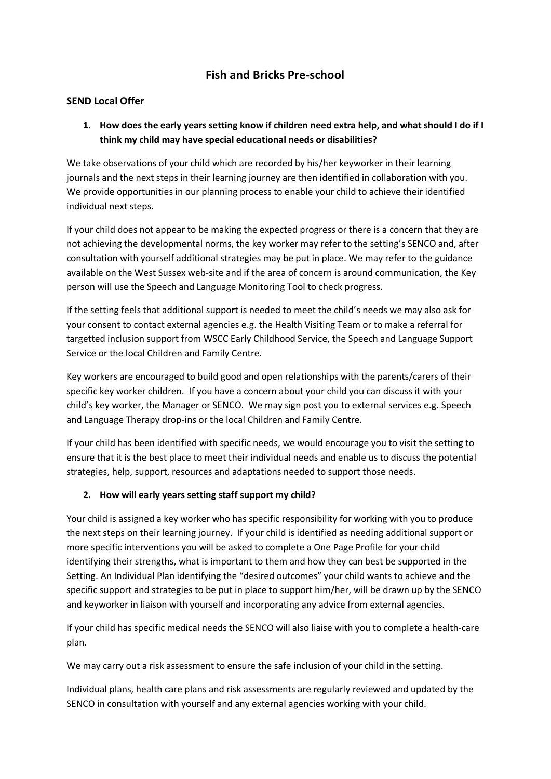# **Fish and Bricks Pre-school**

#### **SEND Local Offer**

# **1. How does the early years setting know if children need extra help, and what should I do if I think my child may have special educational needs or disabilities?**

We take observations of your child which are recorded by his/her keyworker in their learning journals and the next steps in their learning journey are then identified in collaboration with you. We provide opportunities in our planning process to enable your child to achieve their identified individual next steps.

If your child does not appear to be making the expected progress or there is a concern that they are not achieving the developmental norms, the key worker may refer to the setting's SENCO and, after consultation with yourself additional strategies may be put in place. We may refer to the guidance available on the West Sussex web-site and if the area of concern is around communication, the Key person will use the Speech and Language Monitoring Tool to check progress.

If the setting feels that additional support is needed to meet the child's needs we may also ask for your consent to contact external agencies e.g. the Health Visiting Team or to make a referral for targetted inclusion support from WSCC Early Childhood Service, the Speech and Language Support Service or the local Children and Family Centre.

Key workers are encouraged to build good and open relationships with the parents/carers of their specific key worker children. If you have a concern about your child you can discuss it with your child's key worker, the Manager or SENCO. We may sign post you to external services e.g. Speech and Language Therapy drop-ins or the local Children and Family Centre.

If your child has been identified with specific needs, we would encourage you to visit the setting to ensure that it is the best place to meet their individual needs and enable us to discuss the potential strategies, help, support, resources and adaptations needed to support those needs.

#### **2. How will early years setting staff support my child?**

Your child is assigned a key worker who has specific responsibility for working with you to produce the next steps on their learning journey. If your child is identified as needing additional support or more specific interventions you will be asked to complete a One Page Profile for your child identifying their strengths, what is important to them and how they can best be supported in the Setting. An Individual Plan identifying the "desired outcomes" your child wants to achieve and the specific support and strategies to be put in place to support him/her, will be drawn up by the SENCO and keyworker in liaison with yourself and incorporating any advice from external agencies.

If your child has specific medical needs the SENCO will also liaise with you to complete a health-care plan.

We may carry out a risk assessment to ensure the safe inclusion of your child in the setting.

Individual plans, health care plans and risk assessments are regularly reviewed and updated by the SENCO in consultation with yourself and any external agencies working with your child.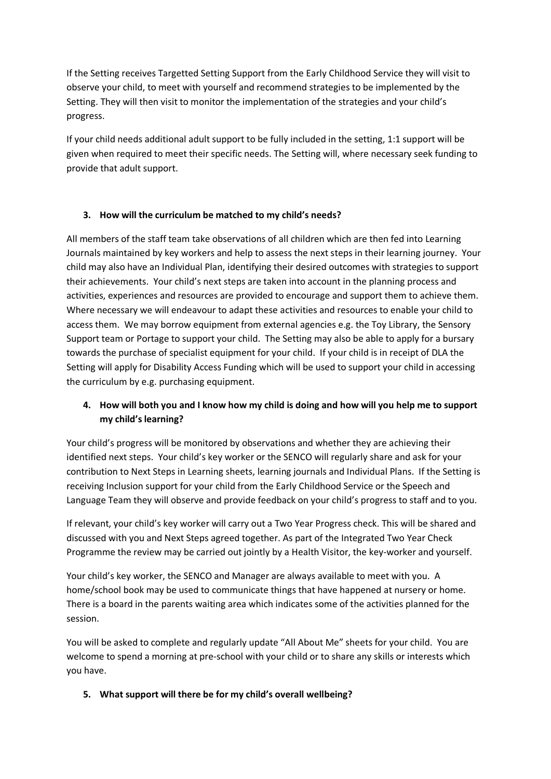If the Setting receives Targetted Setting Support from the Early Childhood Service they will visit to observe your child, to meet with yourself and recommend strategies to be implemented by the Setting. They will then visit to monitor the implementation of the strategies and your child's progress.

If your child needs additional adult support to be fully included in the setting, 1:1 support will be given when required to meet their specific needs. The Setting will, where necessary seek funding to provide that adult support.

#### **3. How will the curriculum be matched to my child's needs?**

All members of the staff team take observations of all children which are then fed into Learning Journals maintained by key workers and help to assess the next steps in their learning journey. Your child may also have an Individual Plan, identifying their desired outcomes with strategies to support their achievements. Your child's next steps are taken into account in the planning process and activities, experiences and resources are provided to encourage and support them to achieve them. Where necessary we will endeavour to adapt these activities and resources to enable your child to access them. We may borrow equipment from external agencies e.g. the Toy Library, the Sensory Support team or Portage to support your child. The Setting may also be able to apply for a bursary towards the purchase of specialist equipment for your child. If your child is in receipt of DLA the Setting will apply for Disability Access Funding which will be used to support your child in accessing the curriculum by e.g. purchasing equipment.

# **4. How will both you and I know how my child is doing and how will you help me to support my child's learning?**

Your child's progress will be monitored by observations and whether they are achieving their identified next steps. Your child's key worker or the SENCO will regularly share and ask for your contribution to Next Steps in Learning sheets, learning journals and Individual Plans. If the Setting is receiving Inclusion support for your child from the Early Childhood Service or the Speech and Language Team they will observe and provide feedback on your child's progress to staff and to you.

If relevant, your child's key worker will carry out a Two Year Progress check. This will be shared and discussed with you and Next Steps agreed together. As part of the Integrated Two Year Check Programme the review may be carried out jointly by a Health Visitor, the key-worker and yourself.

Your child's key worker, the SENCO and Manager are always available to meet with you. A home/school book may be used to communicate things that have happened at nursery or home. There is a board in the parents waiting area which indicates some of the activities planned for the session.

You will be asked to complete and regularly update "All About Me" sheets for your child. You are welcome to spend a morning at pre-school with your child or to share any skills or interests which you have.

### **5. What support will there be for my child's overall wellbeing?**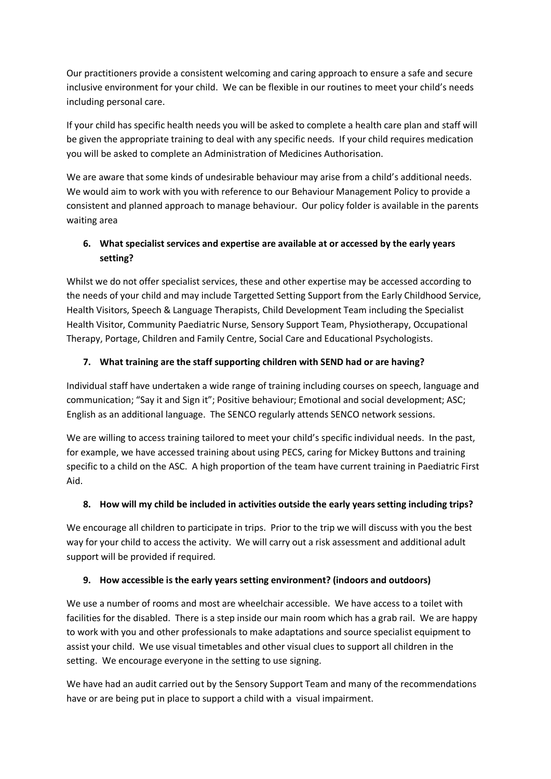Our practitioners provide a consistent welcoming and caring approach to ensure a safe and secure inclusive environment for your child. We can be flexible in our routines to meet your child's needs including personal care.

If your child has specific health needs you will be asked to complete a health care plan and staff will be given the appropriate training to deal with any specific needs. If your child requires medication you will be asked to complete an Administration of Medicines Authorisation.

We are aware that some kinds of undesirable behaviour may arise from a child's additional needs. We would aim to work with you with reference to our Behaviour Management Policy to provide a consistent and planned approach to manage behaviour. Our policy folder is available in the parents waiting area

# **6. What specialist services and expertise are available at or accessed by the early years setting?**

Whilst we do not offer specialist services, these and other expertise may be accessed according to the needs of your child and may include Targetted Setting Support from the Early Childhood Service, Health Visitors, Speech & Language Therapists, Child Development Team including the Specialist Health Visitor, Community Paediatric Nurse, Sensory Support Team, Physiotherapy, Occupational Therapy, Portage, Children and Family Centre, Social Care and Educational Psychologists.

# **7. What training are the staff supporting children with SEND had or are having?**

Individual staff have undertaken a wide range of training including courses on speech, language and communication; "Say it and Sign it"; Positive behaviour; Emotional and social development; ASC; English as an additional language. The SENCO regularly attends SENCO network sessions.

We are willing to access training tailored to meet your child's specific individual needs. In the past, for example, we have accessed training about using PECS, caring for Mickey Buttons and training specific to a child on the ASC. A high proportion of the team have current training in Paediatric First Aid.

# **8. How will my child be included in activities outside the early years setting including trips?**

We encourage all children to participate in trips. Prior to the trip we will discuss with you the best way for your child to access the activity. We will carry out a risk assessment and additional adult support will be provided if required.

### **9. How accessible is the early years setting environment? (indoors and outdoors)**

We use a number of rooms and most are wheelchair accessible. We have access to a toilet with facilities for the disabled. There is a step inside our main room which has a grab rail. We are happy to work with you and other professionals to make adaptations and source specialist equipment to assist your child. We use visual timetables and other visual clues to support all children in the setting. We encourage everyone in the setting to use signing.

We have had an audit carried out by the Sensory Support Team and many of the recommendations have or are being put in place to support a child with a visual impairment.